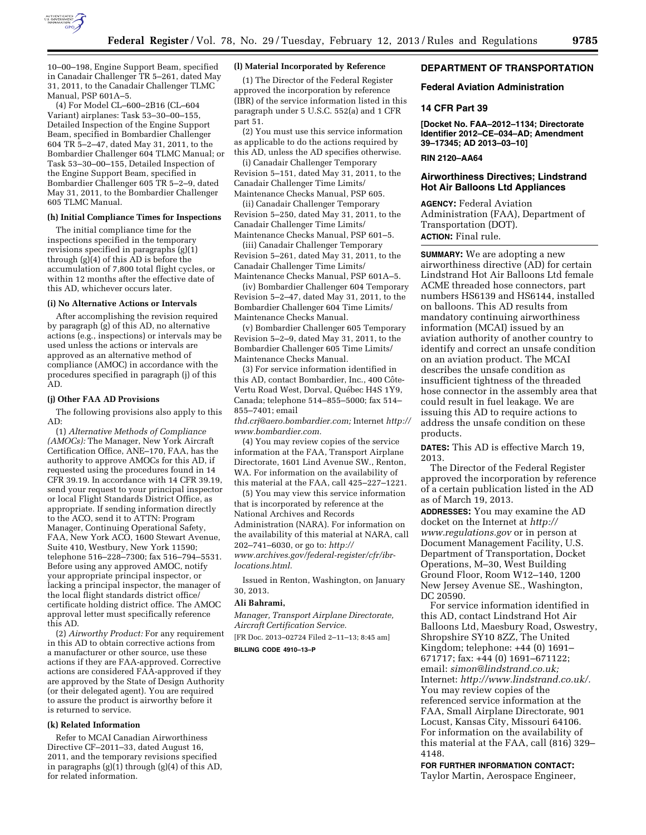

10–00–198, Engine Support Beam, specified in Canadair Challenger TR 5–261, dated May 31, 2011, to the Canadair Challenger TLMC Manual, PSP 601A–5.

(4) For Model CL–600–2B16 (CL–604 Variant) airplanes: Task 53–30–00–155, Detailed Inspection of the Engine Support Beam, specified in Bombardier Challenger 604 TR 5–2–47, dated May 31, 2011, to the Bombardier Challenger 604 TLMC Manual; or Task 53–30–00–155, Detailed Inspection of the Engine Support Beam, specified in Bombardier Challenger 605 TR 5–2–9, dated May 31, 2011, to the Bombardier Challenger 605 TLMC Manual.

# **(h) Initial Compliance Times for Inspections**

The initial compliance time for the inspections specified in the temporary revisions specified in paragraphs (g)(1) through  $(g)(4)$  of this  $AD$  is before the accumulation of 7,800 total flight cycles, or within 12 months after the effective date of this AD, whichever occurs later.

#### **(i) No Alternative Actions or Intervals**

After accomplishing the revision required by paragraph (g) of this AD, no alternative actions (e.g., inspections) or intervals may be used unless the actions or intervals are approved as an alternative method of compliance (AMOC) in accordance with the procedures specified in paragraph (j) of this AD.

#### **(j) Other FAA AD Provisions**

The following provisions also apply to this AD:

(1) *Alternative Methods of Compliance (AMOCs):* The Manager, New York Aircraft Certification Office, ANE–170, FAA, has the authority to approve AMOCs for this AD, if requested using the procedures found in 14 CFR 39.19. In accordance with 14 CFR 39.19, send your request to your principal inspector or local Flight Standards District Office, as appropriate. If sending information directly to the ACO, send it to ATTN: Program Manager, Continuing Operational Safety, FAA, New York ACO, 1600 Stewart Avenue, Suite 410, Westbury, New York 11590; telephone 516–228–7300; fax 516–794–5531. Before using any approved AMOC, notify your appropriate principal inspector, or lacking a principal inspector, the manager of the local flight standards district office/ certificate holding district office. The AMOC approval letter must specifically reference this AD.

(2) *Airworthy Product:* For any requirement in this AD to obtain corrective actions from a manufacturer or other source, use these actions if they are FAA-approved. Corrective actions are considered FAA-approved if they are approved by the State of Design Authority (or their delegated agent). You are required to assure the product is airworthy before it is returned to service.

### **(k) Related Information**

Refer to MCAI Canadian Airworthiness Directive CF–2011–33, dated August 16, 2011, and the temporary revisions specified in paragraphs (g)(1) through (g)(4) of this AD, for related information.

### **(l) Material Incorporated by Reference**

(1) The Director of the Federal Register approved the incorporation by reference (IBR) of the service information listed in this paragraph under 5 U.S.C. 552(a) and 1 CFR part 51.

(2) You must use this service information as applicable to do the actions required by this AD, unless the AD specifies otherwise.

(i) Canadair Challenger Temporary Revision 5–151, dated May 31, 2011, to the Canadair Challenger Time Limits/ Maintenance Checks Manual, PSP 605.

(ii) Canadair Challenger Temporary Revision 5–250, dated May 31, 2011, to the Canadair Challenger Time Limits/ Maintenance Checks Manual, PSP 601–5.

(iii) Canadair Challenger Temporary Revision 5–261, dated May 31, 2011, to the Canadair Challenger Time Limits/ Maintenance Checks Manual, PSP 601A–5.

(iv) Bombardier Challenger 604 Temporary Revision 5–2–47, dated May 31, 2011, to the Bombardier Challenger 604 Time Limits/ Maintenance Checks Manual.

(v) Bombardier Challenger 605 Temporary Revision 5–2–9, dated May 31, 2011, to the Bombardier Challenger 605 Time Limits/ Maintenance Checks Manual.

(3) For service information identified in this AD, contact Bombardier, Inc., 400 Côte-Vertu Road West, Dorval, Québec H4S 1Y9, Canada; telephone 514–855–5000; fax 514– 855–7401; email

*[thd.crj@aero.bombardier.com;](mailto:thd.crj@aero.bombardier.com)* Internet *[http://](http://www.bombardier.com)  [www.bombardier.com.](http://www.bombardier.com)* 

(4) You may review copies of the service information at the FAA, Transport Airplane Directorate, 1601 Lind Avenue SW., Renton, WA. For information on the availability of this material at the FAA, call 425–227–1221.

(5) You may view this service information that is incorporated by reference at the National Archives and Records Administration (NARA). For information on the availability of this material at NARA, call 202–741–6030, or go to: *[http://](http://www.archives.gov/federal-register/cfr/ibr-locations.html) [www.archives.gov/federal-register/cfr/ibr](http://www.archives.gov/federal-register/cfr/ibr-locations.html)[locations.html.](http://www.archives.gov/federal-register/cfr/ibr-locations.html)* 

Issued in Renton, Washington, on January 30, 2013.

### **Ali Bahrami,**

*Manager, Transport Airplane Directorate, Aircraft Certification Service.* 

[FR Doc. 2013–02724 Filed 2–11–13; 8:45 am]

**BILLING CODE 4910–13–P** 

# **DEPARTMENT OF TRANSPORTATION**

# **Federal Aviation Administration**

## **14 CFR Part 39**

**[Docket No. FAA–2012–1134; Directorate Identifier 2012–CE–034–AD; Amendment 39–17345; AD 2013–03–10]** 

# **RIN 2120–AA64**

# **Airworthiness Directives; Lindstrand Hot Air Balloons Ltd Appliances**

**AGENCY:** Federal Aviation Administration (FAA), Department of Transportation (DOT). **ACTION:** Final rule.

**SUMMARY:** We are adopting a new airworthiness directive (AD) for certain Lindstrand Hot Air Balloons Ltd female ACME threaded hose connectors, part numbers HS6139 and HS6144, installed on balloons. This AD results from mandatory continuing airworthiness information (MCAI) issued by an aviation authority of another country to identify and correct an unsafe condition on an aviation product. The MCAI describes the unsafe condition as insufficient tightness of the threaded hose connector in the assembly area that could result in fuel leakage. We are issuing this AD to require actions to address the unsafe condition on these products.

**DATES:** This AD is effective March 19, 2013.

The Director of the Federal Register approved the incorporation by reference of a certain publication listed in the AD as of March 19, 2013.

**ADDRESSES:** You may examine the AD docket on the Internet at *[http://](http://www.regulations.gov)  [www.regulations.gov](http://www.regulations.gov)* or in person at Document Management Facility, U.S. Department of Transportation, Docket Operations, M–30, West Building Ground Floor, Room W12–140, 1200 New Jersey Avenue SE., Washington, DC 20590.

For service information identified in this AD, contact Lindstrand Hot Air Balloons Ltd, Maesbury Road, Oswestry, Shropshire SY10 8ZZ, The United Kingdom; telephone: +44 (0) 1691– 671717; fax: +44 (0) 1691–671122; email: *[simon@lindstrand.co.uk;](mailto:simon@lindstrand.co.uk)*  Internet: *[http://www.lindstrand.co.uk/.](http://www.lindstrand.co.uk/)*  You may review copies of the referenced service information at the FAA, Small Airplane Directorate, 901 Locust, Kansas City, Missouri 64106. For information on the availability of this material at the FAA, call (816) 329– 4148.

**FOR FURTHER INFORMATION CONTACT:**  Taylor Martin, Aerospace Engineer,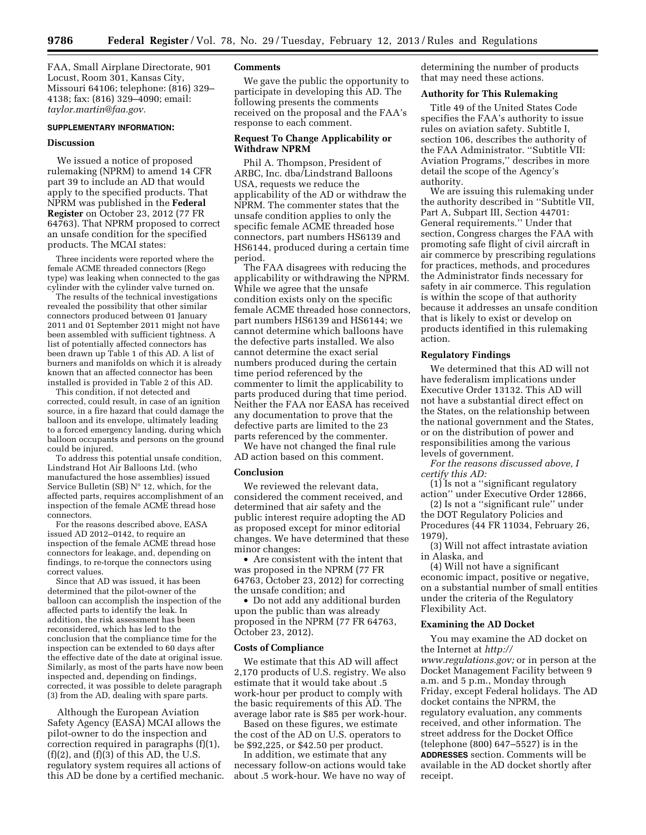FAA, Small Airplane Directorate, 901 Locust, Room 301, Kansas City, Missouri 64106; telephone: (816) 329– 4138; fax: (816) 329–4090; email: *[taylor.martin@faa.gov.](mailto:taylor.martin@faa.gov)* 

## **SUPPLEMENTARY INFORMATION:**

# **Discussion**

We issued a notice of proposed rulemaking (NPRM) to amend 14 CFR part 39 to include an AD that would apply to the specified products. That NPRM was published in the **Federal Register** on October 23, 2012 (77 FR 64763). That NPRM proposed to correct an unsafe condition for the specified products. The MCAI states:

Three incidents were reported where the female ACME threaded connectors (Rego type) was leaking when connected to the gas cylinder with the cylinder valve turned on.

The results of the technical investigations revealed the possibility that other similar connectors produced between 01 January 2011 and 01 September 2011 might not have been assembled with sufficient tightness. A list of potentially affected connectors has been drawn up Table 1 of this AD. A list of burners and manifolds on which it is already known that an affected connector has been installed is provided in Table 2 of this AD.

This condition, if not detected and corrected, could result, in case of an ignition source, in a fire hazard that could damage the balloon and its envelope, ultimately leading to a forced emergency landing, during which balloon occupants and persons on the ground could be injured.

To address this potential unsafe condition, Lindstrand Hot Air Balloons Ltd. (who manufactured the hose assemblies) issued Service Bulletin (SB) N° 12, which, for the affected parts, requires accomplishment of an inspection of the female ACME thread hose connectors.

For the reasons described above, EASA issued AD 2012–0142, to require an inspection of the female ACME thread hose connectors for leakage, and, depending on findings, to re-torque the connectors using correct values.

Since that AD was issued, it has been determined that the pilot-owner of the balloon can accomplish the inspection of the affected parts to identify the leak. In addition, the risk assessment has been reconsidered, which has led to the conclusion that the compliance time for the inspection can be extended to 60 days after the effective date of the date at original issue. Similarly, as most of the parts have now been inspected and, depending on findings, corrected, it was possible to delete paragraph (3) from the AD, dealing with spare parts.

Although the European Aviation Safety Agency (EASA) MCAI allows the pilot-owner to do the inspection and correction required in paragraphs (f)(1),  $(f)(2)$ , and  $(f)(3)$  of this AD, the U.S. regulatory system requires all actions of this AD be done by a certified mechanic.

# **Comments**

We gave the public the opportunity to participate in developing this AD. The following presents the comments received on the proposal and the FAA's response to each comment.

# **Request To Change Applicability or Withdraw NPRM**

Phil A. Thompson, President of ARBC, Inc. dba/Lindstrand Balloons USA, requests we reduce the applicability of the AD or withdraw the NPRM. The commenter states that the unsafe condition applies to only the specific female ACME threaded hose connectors, part numbers HS6139 and HS6144, produced during a certain time period.

The FAA disagrees with reducing the applicability or withdrawing the NPRM. While we agree that the unsafe condition exists only on the specific female ACME threaded hose connectors, part numbers HS6139 and HS6144; we cannot determine which balloons have the defective parts installed. We also cannot determine the exact serial numbers produced during the certain time period referenced by the commenter to limit the applicability to parts produced during that time period. Neither the FAA nor EASA has received any documentation to prove that the defective parts are limited to the 23 parts referenced by the commenter.

We have not changed the final rule AD action based on this comment.

#### **Conclusion**

We reviewed the relevant data, considered the comment received, and determined that air safety and the public interest require adopting the AD as proposed except for minor editorial changes. We have determined that these minor changes:

• Are consistent with the intent that was proposed in the NPRM (77 FR 64763, October 23, 2012) for correcting the unsafe condition; and

• Do not add any additional burden upon the public than was already proposed in the NPRM (77 FR 64763, October 23, 2012).

### **Costs of Compliance**

We estimate that this AD will affect 2,170 products of U.S. registry. We also estimate that it would take about .5 work-hour per product to comply with the basic requirements of this AD. The average labor rate is \$85 per work-hour.

Based on these figures, we estimate the cost of the AD on U.S. operators to be \$92,225, or \$42.50 per product.

In addition, we estimate that any necessary follow-on actions would take about .5 work-hour. We have no way of determining the number of products that may need these actions.

# **Authority for This Rulemaking**

Title 49 of the United States Code specifies the FAA's authority to issue rules on aviation safety. Subtitle I, section 106, describes the authority of the FAA Administrator. ''Subtitle VII: Aviation Programs,'' describes in more detail the scope of the Agency's authority.

We are issuing this rulemaking under the authority described in ''Subtitle VII, Part A, Subpart III, Section 44701: General requirements.'' Under that section, Congress charges the FAA with promoting safe flight of civil aircraft in air commerce by prescribing regulations for practices, methods, and procedures the Administrator finds necessary for safety in air commerce. This regulation is within the scope of that authority because it addresses an unsafe condition that is likely to exist or develop on products identified in this rulemaking action.

#### **Regulatory Findings**

We determined that this AD will not have federalism implications under Executive Order 13132. This AD will not have a substantial direct effect on the States, on the relationship between the national government and the States, or on the distribution of power and responsibilities among the various levels of government.

*For the reasons discussed above, I certify this AD:* 

(1) Is not a ''significant regulatory action'' under Executive Order 12866,

(2) Is not a ''significant rule'' under the DOT Regulatory Policies and Procedures (44 FR 11034, February 26, 1979),

(3) Will not affect intrastate aviation in Alaska, and

(4) Will not have a significant economic impact, positive or negative, on a substantial number of small entities under the criteria of the Regulatory Flexibility Act.

### **Examining the AD Docket**

You may examine the AD docket on the Internet at *[http://](http://www.regulations.gov)  [www.regulations.gov;](http://www.regulations.gov)* or in person at the Docket Management Facility between 9 a.m. and 5 p.m., Monday through Friday, except Federal holidays. The AD docket contains the NPRM, the regulatory evaluation, any comments received, and other information. The street address for the Docket Office (telephone (800) 647–5527) is in the **ADDRESSES** section. Comments will be available in the AD docket shortly after receipt.